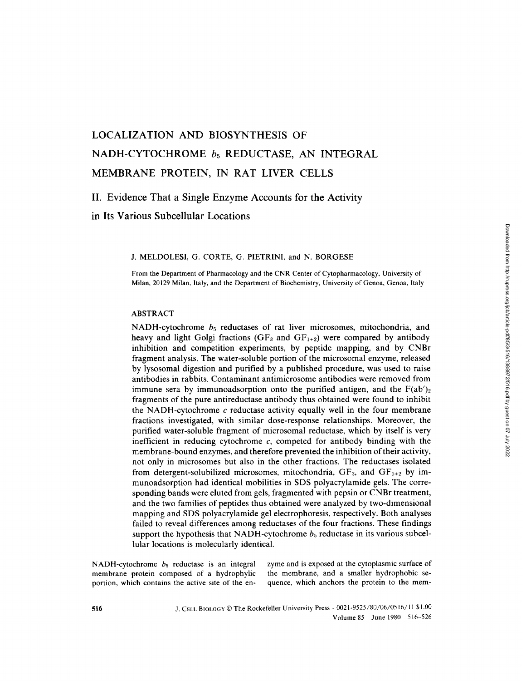# LOCALIZATION AND BIOSYNTHESIS OF NADH-CYTOCHROME  $b_5$  REDUCTASE, AN INTEGRAL MEMBRANE PROTEIN, IN RAT LIVER CELLS

II. Evidence That a Single Enzyme Accounts for the Activity

in Its Various Subcellular Locations

## J. MELDOLESI, G. CORTE, G. PIETRINI, and N. BORGESE

From the Department of Pharmacology and the CNR Center of Cytopharmacology, University of Milan, 20129 Milan, Italy, and the Department of Biochemistry, University of Genoa, Genoa, Italy

# ABSTRACT

NADH-cytochrome  $b_5$  reductases of rat liver microsomes, mitochondria, and heavy and light Golgi fractions (GF<sub>3</sub> and  $GF_{1+2}$ ) were compared by antibody inhibition and competition experiments, by peptide mapping, and by CNBr fragment analysis . The water-soluble portion of the microsomal enzyme, released by lysosomal digestion and purified by a published procedure, was used to raise antibodies in rabbits . Contaminant antimicrosome antibodies were removed from immune sera by immunoadsorption onto the purified antigen, and the  $F(ab')_2$ fragments of the pure antireductase antibody thus obtained were found to inhibit the NADH-cytochrome  $c$  reductase activity equally well in the four membrane fractions investigated, with similar dose-response relationships. Moreover, the purified water-soluble fragment of microsomal reductase, which by itself is very inefficient in reducing cytochrome  $c$ , competed for antibody binding with the membrane-bound enzymes, and therefore prevented the inhibition of their activity, not only in microsomes but also in the other fractions. The reductases isolated from detergent-solubilized microsomes, mitochondria,  $GF_3$ , and  $GF_{1+2}$  by immunoadsorption had identical mobilities in SDS polyacrylamide gels. The corresponding bands were eluted from gels, fragmented with pepsin or CNBr treatment, and the two families of peptides thus obtained were analyzed by two-dimensional mapping and SDS polyacrylamide gel electrophoresis, respectively . Both analyses failed to reveal differences among reductases of the four fractions . These findings support the hypothesis that NADH-cytochrome  $b_5$  reductase in its various subcellular locations is molecularly identical.

NADH-cytochrome  $b_5$  reductase is an integral membrane protein composed of <sup>a</sup> hydrophylic portion, which contains the active site of the enzyme and is exposed at the cytoplasmic surface of the membrane, and a smaller hydrophobic sequence, which anchors the protein to the mem-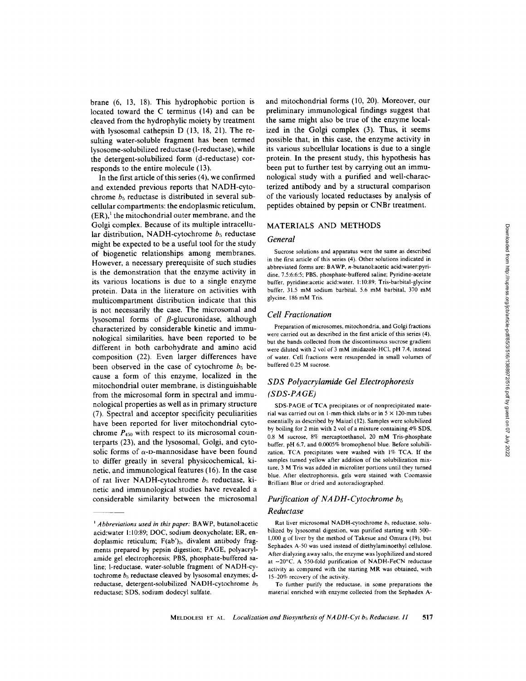brane (6, 13, 18). This hydrophobic portion is located toward the C terminus (14) and can be cleaved from the hydrophylic moiety by treatment with lysosomal cathepsin D (13, 18, 21). The resulting water-soluble fragment has been termed lysosome-solubilized reductase (1-reductase), while the detergent-solubilized form (d-reductase) corresponds to the entire molecule (13) .

In the first article of this series (4), we confirmed and extended previous reports that NADH-cytochrome  $b_5$  reductase is distributed in several subcellular compartments: the endoplasmic reticulum,  $(ER)$ , the mitochondrial outer membrane, and the Golgi complex. Because of its multiple intracellular distribution, NADH-cytochrome  $b_5$  reductase might be expected to be a useful tool for the study of biogenetic relationships among membranes. However, a necessary prerequisite of such studies is the demonstration that the enzyme activity in its various locations is due to a single enzyme protein. Data in the literature on activities with multicompartment distribution indicate that this is not necessarily the case. The microsomal and lysosomal forms of  $\beta$ -glucuronidase, although characterized by considerable kinetic and immunological similarities, have been reported to be different in both carbohydrate and amino acid composition (22) . Even larger differences have been observed in the case of cytochrome  $b_5$  because <sup>a</sup> form of this enzyme, localized in the mitochondrial outer membrane, is distinguishable from the microsomal form in spectral and immunological properties as well as in primary structure (7). Spectral and acceptor specificity peculiarities have been reported for liver mitochondrial cytochrome  $P_{450}$  with respect to its microsomal counterparts (23), and the lysosomal, Golgi, and cytosolic forms of  $\alpha$ -D-mannosidase have been found to differ greatly in several physicochemical, kinetic, and immunological features (l6) In the case of rat liver NADH-cytochrome  $b_5$  reductase, kinetic and immunological studies have revealed a considerable similarity between the microsomal and mitochondrial forms (10, 20). Moreover, our preliminary immunological findings suggest that the same might also be true of the enzyme localized in the Golgi complex (3). Thus, it seems possible that, in this case, the enzyme activity in its various subcellular locations is due to a single protein. In the present study, this hypothesis has been put to further test by carrying out an immunological study with a purified and well-characterized antibody and by a structural comparison of the variously located reductases by analysis of peptides obtained by pepsin or CNBr treatment.

### MATERIALS AND METHODS

#### General

Sucrose solutions and apparatus were the same as described in the first article of this series (4). Other solutions indicated in abbreviated forms are: BAWP, n-butanol:acetic acid:water:pyridine, 7.5:6:6:5; PBS, phosphate-buffered saline; Pyridine-acetate buffer, pyridine:acetic acid:water, 1:10:89; Tris-barbital-glycine buffer, 31.5 mM sodium barbital, 5.6 mM barbital, 370 mM glycine, 186 mM Tris.

#### Cell Fractionation

Preparation of microsomes, mitochondria, and Golgi fractions were carried out as described in the first article of this series (4), but the bands collected from the discontinuous sucrose gradient were diluted with <sup>2</sup> vol of <sup>3</sup> mM imidazole-HCI, pH 7.4, instead of water. Cell fractions were resuspended in small volumes of buffered 0.25 M sucrose.

# SDS Polyacrylamide Gel Electrophoresis (SDS-PAGE)

SDS-PAGE of TCA precipitates or of nonprecipitated material was carried out on 1-mm-thick slabs or in  $5 \times 120$ -mm tubes essentially as described by Maizel (12) . Samples were solubilized by boiling for 2 min with 2 vol of a mixture containing 4% SDS, 0.8 M sucrose, 8% mercaptoethanol, <sup>20</sup> mM Tris-phosphate buffer, pH 6.7, and 0.0005% bromophenol blue. Before solubilization, TCA precipitates were washed with 1% TCA. If the samples turned yellow after addition of the solubilization mixture, <sup>3</sup> MTris was added in microliter portions until they turned blue After electrophoresis, gels were stained with Coomassie Brilliant Blue or dried and autoradiographed.

# Purification of  $NADH$ - Cytochrome  $b_5$ Reductase

Rat liver microsomal NADH-cytochrome  $b_5$  reductase, solubilized by lysosomal digestion, was purified starting with 500- 1,000 g of liver by the method of Takesue and Omura (19), but Sephadex A-50 was used instead of diethylaminoethyl cellulose. After dialyzing away salts, the enzyme was lyophilized and stored at -20°C. A 550-fold purification of NADH-FeCN reductase activity as compared with the starting MR was obtained, with 15-20% recovery of the activity.

To further purify the reductase, in some preparations the material enriched with enzyme collected from the Sephadex A-

<sup>&#</sup>x27; Abbreviations used in this paper: BAWP, butanol:acetic acid:water 1:10:89; DOC, sodium deoxycholate; ER, endoplasmic reticulum; F(ab')<sub>2</sub>, divalent antibody fragments prepared by pepsin digestion; PAGE, polyacrylamide gel electrophoresis; PBS, phosphate-buffered saline; 1-reductase, water-soluble fragment of NADH-cytochrome  $b_5$  reductase cleaved by lysosomal enzymes; dreductase, detergent-solubilized NADH-cytochrome  $b_5$ reductase; SDS, sodium dodecyl sulfate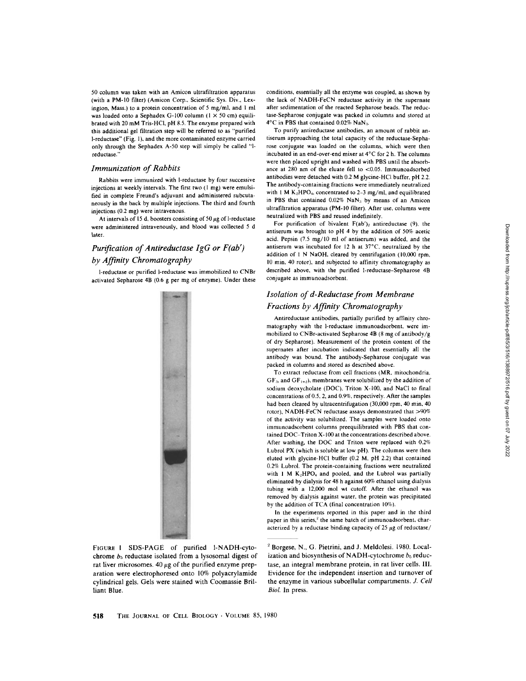50 column was taken with an Amicon ultrafiltration apparatus (with a PM-10 filter) (Amicon Corp., Scientific Sys. Div., Lexington, Mass .) to a protein concentration of <sup>5</sup> mg/ml, and <sup>I</sup> ml was loaded onto a Sephadex G-100 column  $(1 \times 50 \text{ cm})$  equilibrated with <sup>20</sup> mM Tris-HCl, pH 8.5. The enzyme prepared with this additional gel filtration step will be referred to as "purified I-reductase" (Fig. 1), and the more contaminated enzyme carried only through the Sephadex A-50 step will simply be called "lreductase."

#### **Immunization of Rabbits**

Rabbits were immunized with I-reductase by four successive injections at weekly intervals. The first two (I mg) were emulsified in complete Freund's adjuvant and administered subcutaneously in the back by multiple injections . The third and fourth injections (0.2 mg) were intravenous.

At intervals of 15 d, boosters consisting of 50  $\mu$ g of l-reductase were administered intravenously, and blood was collected <sup>5</sup> d later .

# Purification of Antireductase IgG or  $F(ab')$ by Affinity Chromatography

l-reductase or purified I-reductase was immobilized to CNBr activated Sepharose 4B (0.6 g per mg of enzyme). Under these



FIGURE <sup>t</sup> SDS-PAGE of purified 1-NADH-cytochrome  $b_5$  reductase isolated from a lysosomal digest of rat liver microsomes.  $40 \mu g$  of the purified enzyme preparation were electrophoresed onto 10% polyacrylamide cylindrical gels. Gels were stained with Coomassie Brilliant Blue.

conditions, essentially all the enzyme was coupled, as shown by the lack of NADH-FeCN reductase activity in the supernate after sedimentation of the reacted Sepharose beads. The reductase-Sepharose conjugate was packed in columns and stored at 4°C in PBS that contained 0.02% NaN,,.

To purify antireductase antibodies, an amount of rabbit antiserum approaching the total capacity of the reductase-Sepharose conjugate was loaded on the columns, which were then incubated in an end-over-end mixer at 4°C for 2 h The columns were then placed upright and washed with PBS until the absorbance at 280 nm of the eluate fell to <0.05. Immunoadsorbed antibodies were detached with 0.2 M glycine-HCl buffer, pH 2.2. The antibody-containing fractions were immediately neutralized with  $1 M K<sub>2</sub>HPO<sub>4</sub>$ , concentrated to 2-3 mg/ml, and equilibrated in PBS that contained 0.02% NaN<sub>3</sub> by means of an Amicon ultrafiltration apparatus (PM-10 filter). After use, columns were neutralized with PBS and reused indefinitely.

For purification of bivalent  $F(ab')_2$  antireductase (9), the antiserum was brought to pH 4 by the addition of  $50\%$  acetic acid. Pepsin (7.5 mg/10 ml of antiserum) was added, and the antiserum was incubated for 12 h at  $37^{\circ}$ C, neutralized by the addition of <sup>l</sup> N NaOH, cleared by centrifugation (10,000 rpm, <sup>10</sup> min, 40 rotor), and subjected to affinity chromatography as described above, with the purified I-reductase-Sepharose 4B conjugate as immunoadsorbent.

# Isolation of d-Reductase from Membrane Fractions by Affinity Chromatography

Antireductase antibodies, partially purified by affinity chromatography with the 1-reductase immunoadsorbent, were immobilized to CNBr-activated Sepharose 4B (8 mg of antibody/g of dry Sepharose). Measurement of the protein content of the supernates after incubation indicated that essentially all the antibody was bound. The antibody-Sepharose conjugate was packed in columns and stored as described above

To extract reductase from cell fractions (MR. mitochondria,  $GF_3$ , and  $GF_{1+2}$ ), membranes were solubilized by the addition of sodium deoxycholate (DOC), Triton X-100, and NaCl to final concentrations of  $0.5$ , 2, and  $0.9\%$ , respectively. After the samples had been cleared by ultracentrifugation (30,000 rpm, 40 min, 40 rotor), NADH-FeCN reductase assays demonstrated that >90% of the activity was solubilized. The samples were loaded onto immunoadsorbent columns preequilibrated with PBS that contained DOC-Triton X-100 at the concentrations described above. After washing, the DOC and Triton were replaced with 0.2% Lubrol PX (which is soluble at low pH). The columns were then eluted with glycine-HCl buffer (0.2 M, pH 2.2) that contained 0.2% Lubrol. The protein-containing fractions were neutralized with 1 M  $K_2HPO_4$  and pooled, and the Lubrol was partially eliminated by dialysis for48 h against 60% ethanol using dialysis tubing with a 12,000 mot wt cutoff. After the ethanol was removed by dialysis against water, the protein was precipitated by the addition of TCA (final concentration 10%).

In the experiments reported in this paper and in the third paper in this series, $2$  the same batch of immunoadsorbent, characterized by a reductase binding capacity of 25  $\mu$ g of reductase/

<sup>2</sup> Borgese, N., G. Pietrini, and J. Meldolesi. 1980. Localization and biosynthesis of NADH-cytochrome  $b_5$  reductase, an integral membrane protein, in rat liver cells. III. Evidence for the independent insertion and turnover of the enzyme in various subcellular compartments. J. Cell Biol. In press.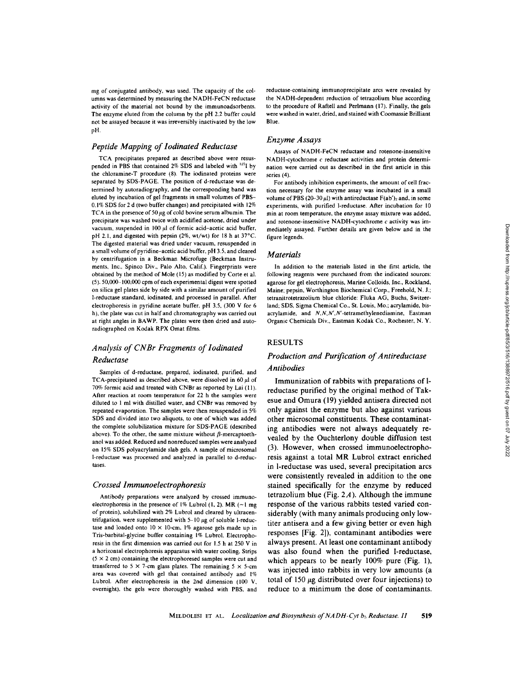mg of conjugated antibody, was used. The capacity of the columns was determined by measuring the NADH-FeCN reductase activity of the material not bound by the immunoadsorbents. The enzyme eluted from the column by the pH 2.2 buffer could not be assayed because it was irreversibly inactivated by the low pH.

## Peptide Mapping of Iodinated Reductase

TCA precipitates prepared as described above were resuspended in PBS that contained  $2\%$  SDS and labeled with  $^{125}$ I by the chloramine-T procedure (8). The iodinated proteins were separated by SDS-PAGE. The position of d-reductase was determined by autoradiography, and the corresponding band was eluted by incubation of gel fragments in small volumes of PBS-0.1% SDS for 2 d (two buffer changes) and precipitated with 12% TCA in the presence of 50  $\mu$ g of cold bovine serum albumin. The precipitate was washed twice with acidified acetone, dried under vacuum, suspended in  $100 \mu l$  of formic acid-acetic acid buffer, pH 2.1, and digested with pepsin (2%, wt/wt) for <sup>18</sup> h at 37°C The digested material was dried under vacuum, resuspended in a small volume of pyridine-acetic acid buffer, pH <sup>3</sup> .5, and cleared by centrifugation in a Beckman Microfuge (Beckman Instruments, Inc., Spinco Div., Palo Alto, Calif.) . Fingerprints were obtained by the method of Mole (15) as modified by Corte et al. (5). 50,000-100,000 cpm of each experimental digest were spotted on silica gel plates side by side with a similar amount of purified I-reductase standard, iodinated, and processed in parallel . After electrophoresis in pyridine acetate buffer, pH 3.5, (300 V for <sup>6</sup> h), the plate was cut in half and chromatography was carried out at right angles in BAWP. The plates were then dried and autoradiographed on Kodak RPX Omat films.

# Analysis of CNBr Fragments of Iodinated Reductase

Samples of d-reductase, prepared, iodinated, purified, and TCA-precipitated as described above, were dissolved in 60  $\mu$ l of 70% formic acid and treated with CNBr as reported by Lai (11) . After reaction at room temperature for 22 h the samples were diluted to <sup>l</sup> ml with distilled water, and CNBr was removed by repeated evaporation. The samples were then resuspended in 5% SDS and divided into two aliquots, to one of which was added the complete solubilization mixture for SDS-PAGE (described above). To the other, the same mixture without  $\beta$ -mercaptoethanol was added. Reduced and nonreduced samples were analyzed on 15% SDS polyacrylamide slab gels. A sample of microsomal I-reductase was processed and analyzed in parallel to d-reductases.

#### Crossed Immunoelectrophoresis

Antibody preparations were analyzed by crossed immunoelectrophoresis in the presence of  $1\%$  Lubrol (1, 2). MR ( $\sim$ 1 mg of protein), solubilized with 2% Lubrol and cleared by ultracentrifugation, were supplemented with  $5-10 \mu g$  of soluble 1-reductase and loaded onto  $10 \times 10$ -cm,  $1\%$  agarose gels made up in Tris-barbital-glycine buffer containing 1% Lubrol. Electrophoresis in the first dimension was carried out for <sup>1</sup> .5 h at 250 V in <sup>a</sup> horizontal electrophoresis apparatus with water cooling. Strips  $(5 \times 2$  cm) containing the electrophoresed samples were cut and transferred to 5  $\times$  7-cm glass plates. The remaining 5  $\times$  5-cm area was covered with gel that contained antibody and 1% Lubrol. After electrophoresis in the 2nd dimension (100 V, overnight), the gels were thoroughly washed with PBS, and reductase-containing immunoprecipitate arcs were revealed by the NADH-dependent reduction of tetrazolium blue according to the procedure of Raftell and Perlmann (17) . Finally, the gels were washed in water, dried, and stained with Coomassie Brilliant Blue .

## Enzyme Assays

Assays of NADH-FeCN reductase and rotenone-insensitive NADH-cytochrome c reductase activities and protein determination were carried out as described in the first article in this series (4).

For antibody inhibition experiments, the amount of cell fraction necessary for the enzyme assay was incubated in a small volume of PBS (20-30  $\mu$ ) with antireductase F(ab')<sub>2</sub> and, in some experiments, with purified 1-reductase. After incubation for 10 min at room temperature, the enzyme assay mixture was added, and rotenone-insensitive NADH-cytochrome c activity was immediately assayed. Further details are given below and in the figure legends.

#### **Materials**

In addition to the materials listed in the first article, the following reagents were purchased from the indicated sources: agarose for gel electrophoresis, Marine Colloids, Inc., Rockland, Maine; pepsin, Worthington Biochemical Corp., Freehold, N. J.; tetranitrotetrazolium blue chloride : Fluka AG, Buchs, Switzerland; SDS, Sigma Chemical Co., St. Louis, Mo.; acrylamide, bisacrylamide, and N,N,N',N'-tetramethylenediamine, Eastman Organic Chemicals Div., Eastman Kodak Co., Rochester, N.Y.

### RESULTS

# Production and Purification of Antireductase Antibodies

Immunization of rabbits with preparations of Ireductase purified by the original method of Takesue and Omura (19) yielded antisera directed not only against the enzyme but also against various other microsomal constituents. These contaminating antibodies were not always adequately revealed by the Ouchterlony double diffusion test (3). However, when crossed immunoelectrophoresis against <sup>a</sup> total MR Lubrol extract enriched in I-reductase was used, several precipitation arcs were consistently revealed in addition to the one stained specifically for the enzyme by reduced tetrazolium blue (Fig.  $2A$ ). Although the immune response of the various rabbits tested varied considerably (with many animals producing only lowtiter antisera and a few giving better or even high responses [Fig. 2]), contaminant antibodies were always present. At least one contaminant antibody was also found when the purified 1-reductase, which appears to be nearly  $100\%$  pure (Fig. 1), was injected into rabbits in very low amounts (a total of 150  $\mu$ g distributed over four injections) to reduce to a minimum the dose of contaminants.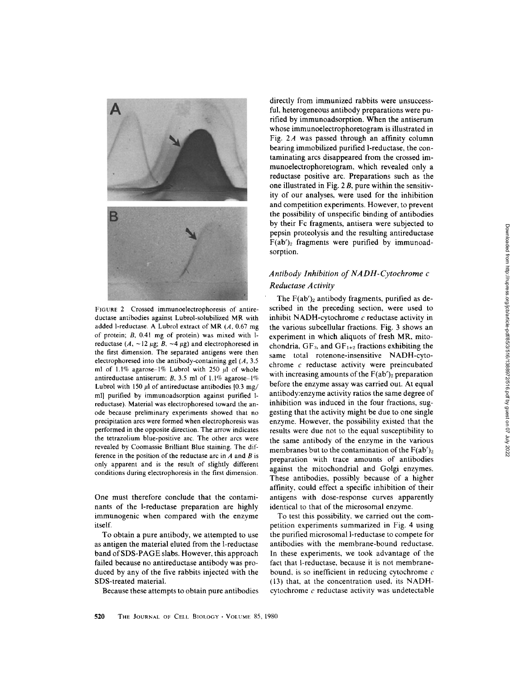

FIGURE <sup>2</sup> Crossed immunoelectrophoresis of antireductase antibodies against Lubrol-solubilized MR with added 1-reductase. A Lubrol extract of MR  $(A, 0.67$  mg of protein; B, 0.41 mg of protein) was mixed with 1 reductase  $(A, \sim 12 \mu g; B, \sim 4 \mu g)$  and electrophoresed in the first dimension. The separated antigens were then electrophoresed into the antibody-containing gel  $(A, 3.5)$ ml of 1.1% agarose-1% Lubrol with 250  $\mu$ l of whole antireductase antiserum; B, 3.5 ml of 1.1% agarose-1% Lubrol with 150  $\mu$ l of antireductase antibodies [0.3 mg/ ml] purified by immunoadsorption against purified 1 reductase). Material was electrophoresed toward the anode because preliminary experiments showed that no precipitation arcs were formed when electrophoresis was performed in the opposite direction. The arrow indicates the tetrazolium blue-positive arc. The other arcs were revealed by Coomassie Brilliant Blue staining. The difference in the position of the reductase arc in  $A$  and  $B$  is only apparent and is the result of slightly different conditions during electrophoresis in the first dimension.

One must therefore conclude that the contaminants of the 1-reductase preparation are highly immunogenic when compared with the enzyme itself.

To obtain a pure antibody, we attempted to use as antigen the material eluted from the 1-reductase band of SDS-PAGE slabs. However, this approach failed because no antireductase antibody was produced by any of the five rabbits injected with the SDS-treated material.

Because these attempts to obtain pure antibodies

directly from immunized rabbits were unsuccessful, heterogeneous antibody preparations were purified by immunoadsorption . When the antiserum whose immunoelectrophoretogram is illustrated in Fig. 2A was passed through an affinity column bearing immobilized purified 1-reductase, the contaminating arcs disappeared from the crossed immunoelectrophoretogram, which revealed only a reductase positive arc. Preparations such as the one illustrated in Fig.  $2 B$ , pure within the sensitivity of our analyses, were used for the inhibition and competition experiments. However, to prevent the possibility of unspecific binding of antibodies by their Fc fragments, antisera were subjected to pepsin proteolysis and the resulting antireductase  $F(ab')_2$  fragments were purified by immunoadsorption.

# Antibody Inhibition of NADH-Cytochrome <sup>c</sup> Reductase Activity

The  $F(ab')_2$  antibody fragments, purified as described in the preceding section, were used to inhibit NADH-cytochrome  $c$  reductase activity in the various subcellular fractions. Fig. 3 shows an experiment in which aliquots of fresh MR, mitochondria,  $GF_3$ , and  $GF_{1+2}$  fractions exhibiting the same total rotenone-insensitive NADH-cytochrome  $c$  reductase activity were preincubated with increasing amounts of the  $F(ab')_2$  preparation before the enzyme assay was carried out. At equal antibody:enzyme activity ratios the same degree of inhibition was induced in the four fractions, suggesting that the activity might be due to one single enzyme. However, the possibility existed that the results were due not to the equal susceptibility to the same antibody of the enzyme in the various membranes but to the contamination of the  $F(ab')_2$ preparation with trace amounts of antibodies against the mitochondrial and Golgi enzymes. These antibodies, possibly because of a higher affinity, could effect a specific inhibition of their antigens with dose-response curves apparently identical to that of the microsomal enzyme

To test this possibility, we carried out the competition experiments summarized in Fig. 4 using the purified microsomal 1-reductase to compete for antibodies with the membrane-bound reductase In these experiments, we took advantage of the fact that I-reductase, because it is not membranebound, is so inefficient in reducing cytochrome  $c$ (13) that, at the concentration used, its NADHcytochrome  $c$  reductase activity was undetectable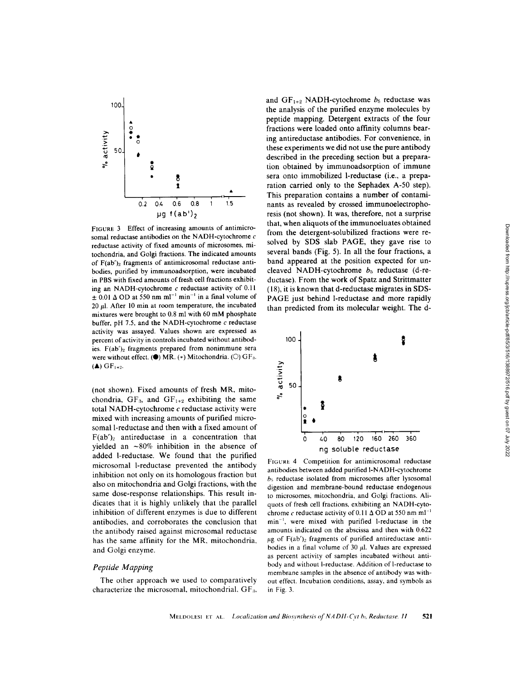

FIGURE 3 Effect of increasing amounts of antimicrosomal reductase antibodies on the NADH-cytochrome <sup>c</sup> reductase activity of fixed amounts of microsomes, mitochondria, and Golgi fractions. The indicated amounts of  $F(ab')_2$  fragments of antimicrosomal reductase antibodies, purified by immunoadsorption, were incubated in PBS with fixed amounts of fresh cell fractions exhibiting an NADH-cytochrome  $c$  reductase activity of  $0.11$  $\pm$  0.01  $\Delta$  OD at 550 nm ml<sup>-1</sup> min<sup>-1</sup> in a final volume of 20  $\mu$ l. After 10 min at room temperature, the incubated mixtures were brought to 0.8 ml with <sup>60</sup> mM phosphate buffer, pH 7.5, and the NADH-cytochrome  $c$  reductase activity was assayed. Values shown are expressed as percent of activity in controls incubated without antibodies. F(ab')<sub>2</sub> fragments prepared from nonimmune sera were without effect.  $(\bullet)$  MR. (\*) Mitochondria. ( $\circ$ ) GF<sub>3</sub>.  $(A)$  GF<sub>1+2</sub>.

(not shown). Fixed amounts of fresh MR, mitochondria,  $GF_3$ , and  $GF_{1+2}$  exhibiting the same total NADH-cytochrome c reductase activity were mixed with increasing amounts of purified microsomal I-reductase and then with a fixed amount of  $F(ab')_2$  antireductase in a concentration that yielded an  $\sim 80\%$  inhibition in the absence of added 1-reductase. We found that the purified microsomal I-reductase prevented the antibody inhibition not only on its homologous fraction but also on mitochondria and Golgi fractions, with the same dose-response relationships. This result indicates that it is highly unlikely that the parallel inhibition of different enzymes is due to different antibodies, and corroborates the conclusion that the antibody raised against microsomal reductase has the same affinity for the MR, mitochondria, and Golgi enzyme.

# Peptide Mapping

The other approach we used to comparatively characterize the microsomal, mitochondrial,  $GF<sub>3</sub>$ , and  $GF_{1+2}$  NADH-cytochrome  $b_5$  reductase was the analysis of the purified enzyme molecules by peptide mapping. Detergent extracts of the four fractions were loaded onto affinity columns bearing antireductase antibodies. For convenience, in these experiments we did not use the pure antibody described in the preceding section but a preparation obtained by immunoadsorption of immune sera onto immobilized l-reductase (i.e., a preparation carried only to the Sephadex A-50 step). This preparation contains a number of contaminants as revealed by crossed immunoelectrophoresis (not shown). It was, therefore, not a surprise that, when aliquots of the immunoeluates obtained from the detergent-solubilized fractions were resolved by SDS slab PAGE, they gave rise to several bands (Fig. 5). In all the four fractions, a band appeared at the position expected for uncleaved NADH-cytochrome  $b_5$  reductase (d-reductase). From the work of Spatz and Strittmatter (18), it is known that d-reductase migrates in SDS-PAGE just behind I-reductase and more rapidly than predicted from its molecular weight. The d-



FIGURE 4 Competition for antimicrosomal reductase antibodies between added purified 1-NADH-cytochrome  $b<sub>5</sub>$  reductase isolated from microsomes after lysosomal digestion and membrane-bound reductase endogenous to microsomes, mitochondria, and Golgi fractions . Aliquots of fresh cell fractions, exhibiting an NADH-cytochrome c reductase activity of 0.11  $\Delta$  OD at 550 nm ml<sup>-1</sup> min<sup>-1</sup>, were mixed with purified 1-reductase in the amounts indicated on the abscissa and then with 0.622  $\mu$ g of F(ab')<sub>2</sub> fragments of purified antireductase antibodies in a final volume of 30  $\mu$ l. Values are expressed as percent activity of samples incubated without antibody and without I-reductase Addition of I-reductase to membrane samples in the absence of antibody was without effect. Incubation conditions, assay, and symbols as in Fig. 3.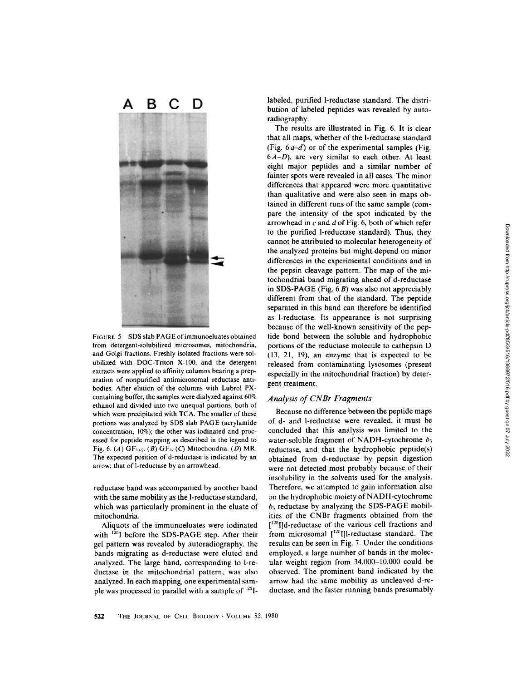

FIGURE <sup>5</sup> SDS slab PAGE of immunoeluates obtained from detergent-solubilized microsomes, mitochondria, and Golgi fractions . Freshly isolated fractions were solubilized with DOC-Triton X-100, and the detergent extracts were applied to affinity columns bearing a preparation of nonpurified antimicrosomal reductase antibodies. After elution of the columns with Lubrol PXcontaining buffer, the samples were dialyzed against 60% ethanol and divided into two unequal portions, both of which were precipitated with TCA. The smaller of these portions was analyzed by SDS slab PAGE (acrylamide concentration, 10%); the other was iodinated and processed for peptide mapping as described in the legend to Fig. 6. (A)  $GF<sub>1+2</sub>$ . (B)  $GF<sub>3</sub>$ . (C) Mitochondria. (D) MR. The expected position of d-reductase is indicated by an arrow; that of 1-reductase by an arrowhead.

reductase band was accompanied by another band with the same mobility as the 1-reductase standard, which was particularly prominent in the eluate of mitochondria

Aliquots of the immunoeluates were iodinated with  $^{125}$ I before the SDS-PAGE step. After their gel pattern was revealed by autoradiography, the bands migrating as d-reductase were eluted and analyzed. The large band, corresponding to l-reductase in the mitochondrial pattern, was also analyzed. In each mapping, one experimental sample was processed in parallel with a sample of  $125$  I- labeled, purified 1-reductase standard. The distribution of labeled peptides was revealed by autoradiography.

The results are illustrated in Fig. 6. It is clear that all maps, whether of the 1-reductase standard (Fig.  $6a-d$ ) or of the experimental samples (Fig.  $6A-D$ ), are very similar to each other. At least eight major peptides and a similar number of fainter spots were revealed in all cases. The minor differences that appeared were more quantitative than qualitative and were also seen in maps obtained in different runs of the same sample (compare the intensity of the spot indicated by the arrowhead in  $c$  and  $d$  of Fig. 6, both of which refer to the purified 1-reductase standard). Thus, they cannot be attributed to molecular heterogeneity of the analyzed proteins but might depend on minor differences in the experimental conditions and in the pepsin cleavage pattern. The map of the mitochondria) band migrating ahead of d-reductase in SDS-PAGE (Fig.  $6B$ ) was also not appreciably different from that of the standard. The peptide separated in this band can therefore be identified as 1-reductase. Its appearance is not surprising because of the well-known sensitivity of the peptide bond between the soluble and hydrophobic portions of the reductase molecule to cathepsin D (13, 21, l9), an enzyme that is expected to be released from contaminating lysosomes (present especially in the mitochondrial fraction) by detergent treatment.

# Analysis of CNBr Fragments

Because no difference between the peptide maps of d- and 1-reductase were revealed, it must be concluded that this analysis was limited to the water-soluble fragment of NADH-cytochrome  $b_5$ reductase, and that the hydrophobic peptide(s) obtained from d-reductase by pepsin digestion were not detected most probably because of their insolubility in the solvents used for the analysis . Therefore, we attempted to gain information also on the hydrophobic moiety of NADH-cytochrome  $b_5$  reductase by analyzing the SDS-PAGE mobilities of the CNBr fragments obtained from the  $[$ <sup>125</sup>I]d-reductase of the various cell fractions and from microsomal  $[{}^{125}$ I]l-reductase standard. The results can be seen in Fig. 7. Under the conditions employed, a large number of bands in the molecular weight region from 34,000-10,000 could be observed. The prominent band indicated by the arrow had the same mobility as uncleaved d-reductase, and the faster running bands presumably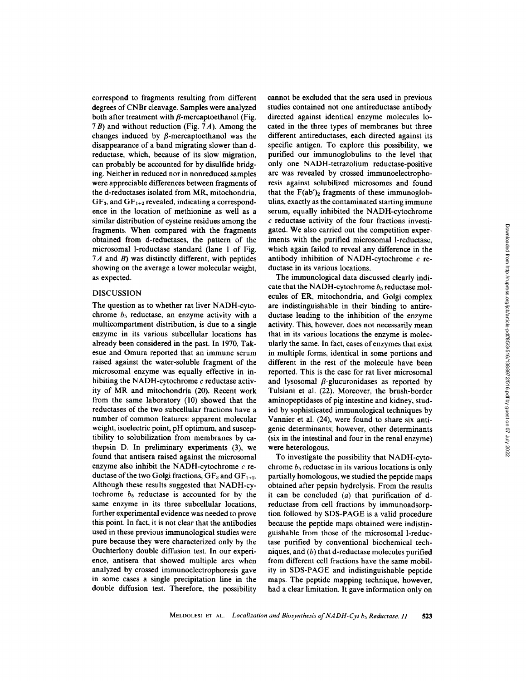correspond to fragments resulting from different degrees of CNBr cleavage . Samples were analyzed both after treatment with  $\beta$ -mercaptoethanol (Fig. <sup>7</sup> B) and without reduction (Fig. 7 A). Among the changes induced by  $\beta$ -mercaptoethanol was the disappearance of a band migrating slower than dreductase, which, because of its slow migration, can probably be accounted for by disulfide bridging. Neither in reduced nor in nonreduced samples were appreciable differences between fragments of the d-reductases isolated from MR, mitochondria,  $GF<sub>3</sub>$ , and  $GF<sub>1+2</sub>$  revealed, indicating a correspondence in the location of methionine as well as a similar distribution of cysteine residues among the fragments. When compared with the fragments obtained from d-reductases, the pattern of the microsomal 1-reductase standard (lane <sup>1</sup> of Fig.  $7A$  and B) was distinctly different, with peptides showing on the average a lower molecular weight, as expected.

## DISCUSSION

The question as to whether rat liver NADH-cytochrome  $b_5$  reductase, an enzyme activity with a multicompartment distribution, is due to a single enzyme in its various subcellular locations has already been considered in the past. In 1970, Takesue and Omura reported that an immune serum raised against the water-soluble fragment of the microsomal enzyme was equally effective in inhibiting the NADH-cytochrome c reductase activity of MR and mitochondria (20). Recent work from the same laboratory (10) showed that the reductases of the two subcellular fractions have a number of common features: apparent molecular weight, isoelectric point, pH optimum, and susceptibility to solubilization from membranes by cathepsin D. In preliminary experiments (3), we found that antisera raised against the microsomal enzyme also inhibit the NADH-cytochrome  $c$  reductase of the two Golgi fractions,  $GF_3$  and  $GF_{1+2}$ . Although these results suggested that NADH-cytochrome  $b_5$  reductase is accounted for by the same enzyme in its three subcellular locations, further experimental evidence was needed to prove this point. In fact, it is not clear that the antibodies used in these previous immunological studies were pure because they were characterized only by the Ouchterlony double diffusion test. In our experience, antisera that showed multiple arcs when analyzed by crossed immunoelectrophoresis gave in some cases a single precipitation line in the double diffusion test. Therefore, the possibility

cannot be excluded that the sera used in previous studies contained not one antireductase antibody directed against identical enzyme molecules located in the three types of membranes but three different antireductases, each directed against its specific antigen. To explore this possibility, we purified our immunoglobulins to the level that only one NADH-tetrazolium reductase-positive arc was revealed by crossed immunoelectrophoresis against solubilized microsomes and found that the  $F(ab')_2$  fragments of these immunoglobulins, exactly as the contaminated starting immune serum, equally inhibited the NADH-cytochrome c reductase activity of the four fractions investigated. We also carried out the competition experiments with the purified microsomal 1-reductase, which again failed to reveal any difference in the antibody inhibition of NADH-cytochrome <sup>c</sup> reductase in its various locations.

The immunological data discussed clearly indicate that the NADH-cytochrome  $b_5$  reductase molecules of ER, mitochondria, and Golgi complex are indistinguishable in their binding to antireductase leading to the inhibition of the enzyme activity. This, however, does not necessarily mean that in its various locations the enzyme is molecularly the same. In fact, cases of enzymes that exist in multiple forms, identical in some portions and different in the rest of the molecule have been reported. This is the case for rat liver microsomal and lysosomal  $\beta$ -glucuronidases as reported by Tulsiani et al. (22) . Moreover, the brush-border aminopeptidases of pig intestine and kidney, studied by sophisticated immunological techniques by Vannier et al. (24), were found to share six antigenic determinants; however, other determinants (six in the intestinal and four in the renal enzyme) were heterologous.

To investigate the possibility that NADH-cytochrome  $b_5$  reductase in its various locations is only partially homologous, we studied the peptide maps obtained after pepsin hydrolysis . From the results it can be concluded  $(a)$  that purification of dreductase from cell fractions by immunoadsorption followed by SDS-PAGE is a valid procedure because the peptide maps obtained were indistinguishable from those of the microsomal 1-reductase purified by conventional biochemical techniques, and  $(b)$  that d-reductase molecules purified from different cell fractions have the same mobility in SDS-PAGE and indistinguishable peptide maps. The peptide mapping technique, however, had a clear limitation . It gave information only on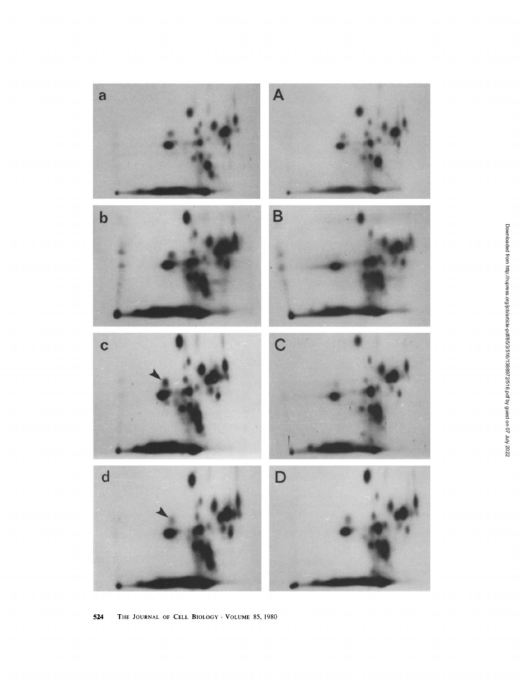

**524** The Journal of Cell Biology  $\cdot$  Volume 85, 1980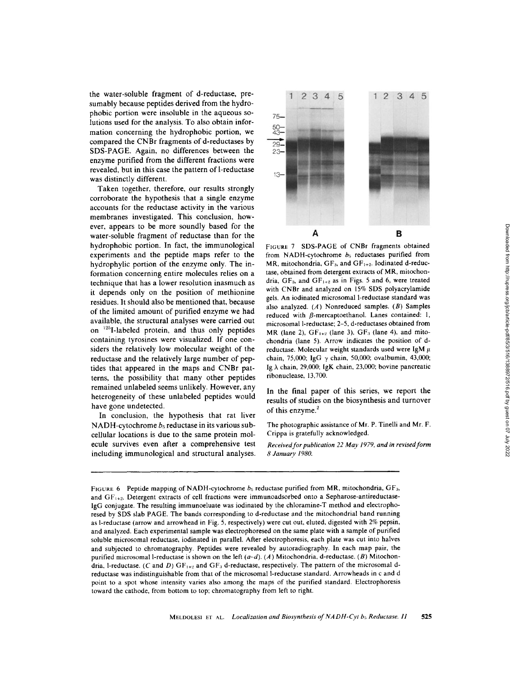the water-soluble fragment of d-reductase, presumably because peptides derived from the hydrophobic portion were insoluble in the aqueous solutions used for the analysis . To also obtain information concerning the hydrophobic portion, we compared the CNBr fragments of d-reductases by SIDS-PAGE. Again, no differences between the enzyme purified from the different fractions were revealed, but in this case the pattern of 1-reductase was distinctly different.

Taken together, therefore, our results strongly corroborate the hypothesis that a single enzyme accounts for the reductase activity in the various membranes investigated. This conclusion, however, appears to be more soundly based for the water-soluble fragment of reductase than for the hydrophobic portion. In fact, the immunological experiments and the peptide maps refer to the hydrophylic portion of the enzyme only. The information concerning entire molecules relies on a technique that has a lower resolution inasmuch as it depends only on the position of methionine residues . It should also be mentioned that, because of the limited amount of purified enzyme we had available, the structural analyses were carried out on <sup>125</sup>I-labeled protein, and thus only peptides containing tyrosines were visualized. If one considers the relatively low molecular weight of the reductase and the relatively large number of peptides that appeared in the maps and CNBr patterns, the possibility that many other peptides remained unlabeled seems unlikely. However, any heterogeneity of these unlabeled peptides would have gone undetected.

In conclusion, the hypothesis that rat liver NADH-cytochrome  $b_5$  reductase in its various subcellular locations is due to the same protein molecule survives even after a comprehensive test including immunological and structural analyses .



FIGURE <sup>7</sup> SDS-PAGE of CNBr fragments obtained from NADH-cytochrome  $b_5$  reductases purified from MR, mitochondria,  $GF_3$ , and  $GF_{1+2}$ . Iodinated d-reductase, obtained from detergent extracts of MR, mitochondria,  $GF_3$ , and  $GF_{1+2}$  as in Figs. 5 and 6, were treated with CNBr and analyzed on 15% SDS polyacrylamide gels. An iodinated microsomal 1-reductase standard was also analyzed.  $(A)$  Nonreduced samples.  $(B)$  Samples reduced with  $\beta$ -mercaptoethanol. Lanes contained: 1, microsomal 1-reductase; 2-5, d-reductases obtained from MR (lane 2),  $GF_{1+2}$  (lane 3),  $GF_3$  (lane 4), and mitochondria (lane 5). Arrow indicates the position of dreductase. Molecular weight standards used were IgM  $\mu$ chain, 75,000; IgG  $\gamma$  chain, 50,000; ovalbumin, 43,000; Ig  $\lambda$  chain, 29,000; IgK chain, 23,000; bovine pancreatic ribonuclease, 13,700.

In the final paper of this series, we report the results of studies on the biosynthesis and turnover of this enzyme.'

The photographic assistance of Mr. P. Tinelli and Mr. F. Crippa is gratefully acknowledged.

Received for publication 22 May 1979, and in revised form 8 January 1980.

FIGURE 6 Peptide mapping of NADH-cytochrome  $b_5$  reductase purified from MR, mitochondria, GF<sub>3</sub>, and GF<sub>1+2</sub>. Detergent extracts of cell fractions were immunoadsorbed onto a Sepharose-antireductase-IgG conjugate. The resulting immunoeluate was iodinated by the chloramine-T method and electrophoresed by SDS slab PAGE. The bands corresponding to d-reductase and the mitochondrial band running as 1-reductase (arrow and arrowhead in Fig. 5, respectively) were cut out, eluted, digested with 2% pepsin, and analyzed . Each experimental sample was electrophoresed on the same plate with a sample of purified soluble microsomal reductase, iodinated in parallel. After electrophoresis, each plate was cut into halves and subjected to chromatography. Peptides were revealed by autoradiography. In each map pair, the purified microsomal l-reductase is shown on the left  $(a-d)$ . (A) Mitochondria, d-reductase. (B) Mitochondria, 1-reductase. (C and D)  $GF_{1+2}$  and  $GF_3$  d-reductase, respectively. The pattern of the microsomal dreductase was indistinguishable from that of the microsomal 1-reductase standard . Arrowheads in c and d point to a spot whose intensity varies also among the maps of the purified standard. Electrophoresis toward the cathode, from bottom to top; chromatography from left to right.